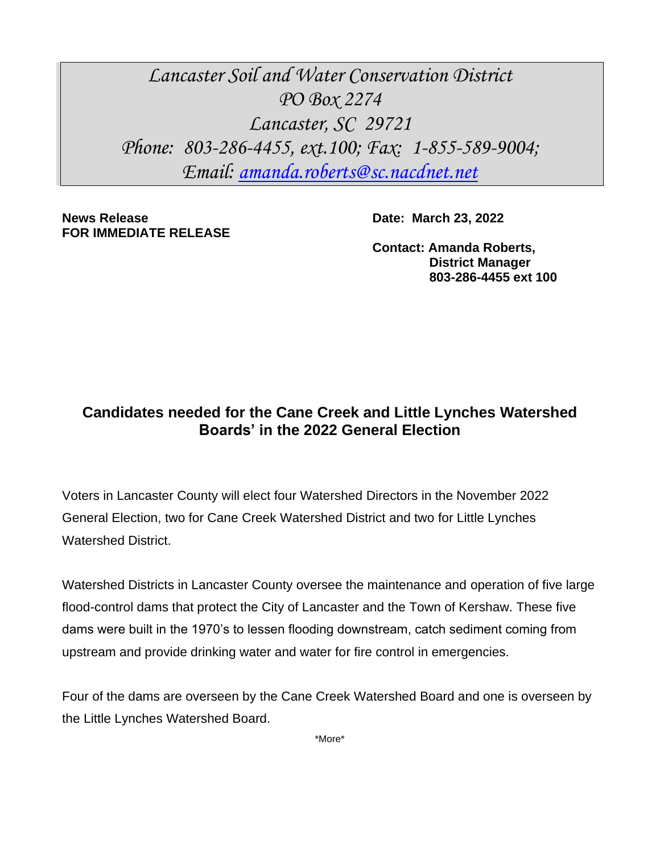*Lancaster Soil and Water Conservation District PO Box 2274 Lancaster, SC 29721 Phone: 803-286-4455, ext.100; Fax: 1-855-589-9004; Email: [amanda.roberts@sc.nacdnet.net](mailto:amanda.roberts@sc.nacdnet.net)*

**News Release Date: March 23, 2022 FOR IMMEDIATE RELEASE**

**Contact: Amanda Roberts, District Manager 803-286-4455 ext 100**

## **Candidates needed for the Cane Creek and Little Lynches Watershed Boards' in the 2022 General Election**

Voters in Lancaster County will elect four Watershed Directors in the November 2022 General Election, two for Cane Creek Watershed District and two for Little Lynches Watershed District.

Watershed Districts in Lancaster County oversee the maintenance and operation of five large flood-control dams that protect the City of Lancaster and the Town of Kershaw. These five dams were built in the 1970's to lessen flooding downstream, catch sediment coming from upstream and provide drinking water and water for fire control in emergencies.

Four of the dams are overseen by the Cane Creek Watershed Board and one is overseen by the Little Lynches Watershed Board.

\*More\*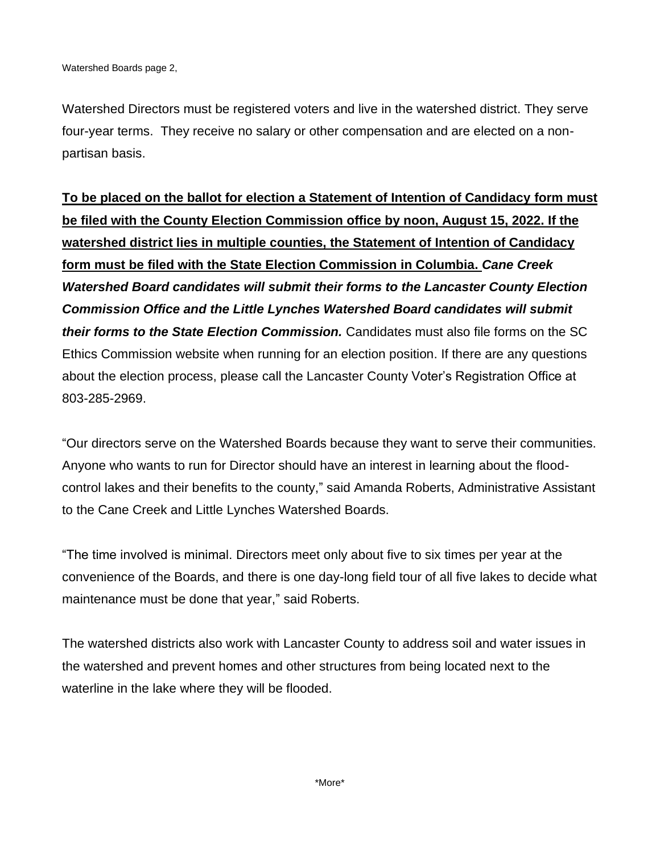Watershed Directors must be registered voters and live in the watershed district. They serve four-year terms. They receive no salary or other compensation and are elected on a nonpartisan basis.

**To be placed on the ballot for election a Statement of Intention of Candidacy form must be filed with the County Election Commission office by noon, August 15, 2022. If the watershed district lies in multiple counties, the Statement of Intention of Candidacy form must be filed with the State Election Commission in Columbia.** *Cane Creek Watershed Board candidates will submit their forms to the Lancaster County Election Commission Office and the Little Lynches Watershed Board candidates will submit their forms to the State Election Commission.* Candidates must also file forms on the SC Ethics Commission website when running for an election position. If there are any questions about the election process, please call the Lancaster County Voter's Registration Office at 803-285-2969.

"Our directors serve on the Watershed Boards because they want to serve their communities. Anyone who wants to run for Director should have an interest in learning about the floodcontrol lakes and their benefits to the county," said Amanda Roberts, Administrative Assistant to the Cane Creek and Little Lynches Watershed Boards.

"The time involved is minimal. Directors meet only about five to six times per year at the convenience of the Boards, and there is one day-long field tour of all five lakes to decide what maintenance must be done that year," said Roberts.

The watershed districts also work with Lancaster County to address soil and water issues in the watershed and prevent homes and other structures from being located next to the waterline in the lake where they will be flooded.